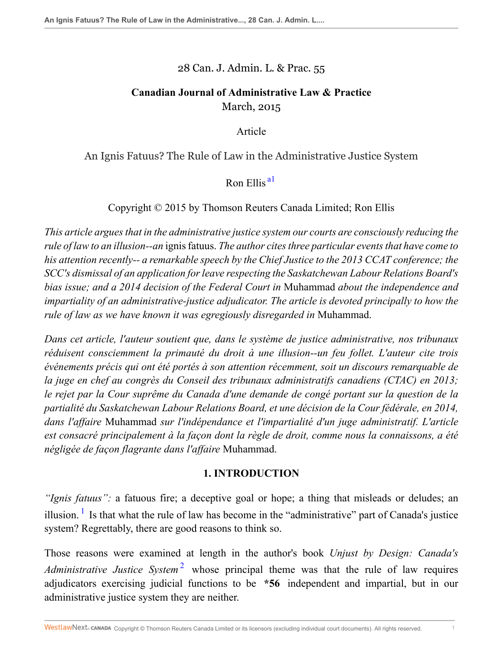### 28 Can. J. Admin. L. & Prac. 55

## **Canadian Journal of Administrative Law & Practice** March, 2015

Article

An Ignis Fatuus? The Rule of Law in the Administrative Justice System

<span id="page-0-0"></span>Ron Ellis<sup>al</sup>

Copyright © 2015 by Thomson Reuters Canada Limited; Ron Ellis

*This article argues that in the administrative justice system our courts are consciously reducing the rule of law to an illusion--an* ignis fatuus. *The author cites three particular events that have come to his attention recently-- a remarkable speech by the Chief Justice to the 2013 CCAT conference; the SCC's dismissal of an application for leave respecting the Saskatchewan Labour Relations Board's bias issue; and a 2014 decision of the Federal Court in* Muhammad *about the independence and impartiality of an administrative-justice adjudicator. The article is devoted principally to how the rule of law as we have known it was egregiously disregarded in* Muhammad.

*Dans cet article, l'auteur soutient que, dans le système de justice administrative, nos tribunaux réduisent consciemment la primauté du droit à une illusion--un feu follet. L'auteur cite trois événements précis qui ont été portés à son attention récemment, soit un discours remarquable de la juge en chef au congrès du Conseil des tribunaux administratifs canadiens (CTAC) en 2013; le rejet par la Cour suprême du Canada d'une demande de congé portant sur la question de la partialité du Saskatchewan Labour Relations Board, et une décision de la Cour fédérale, en 2014, dans l'affaire* Muhammad *sur l'indépendance et l'impartialité d'un juge administratif. L'article est consacré principalement à la façon dont la règle de droit, comme nous la connaissons, a été négligée de façon flagrante dans l'affaire* Muhammad.

## <span id="page-0-2"></span>**1. INTRODUCTION**

<span id="page-0-1"></span>*"Ignis fatuus":* a fatuous fire; a deceptive goal or hope; a thing that misleads or deludes; an illusion. <sup>[1](#page-25-1)</sup> Is that what the rule of law has become in the "administrative" part of Canada's justice system? Regrettably, there are good reasons to think so.

Those reasons were examined at length in the author's book *Unjust by Design: Canada's* Administrative Justice System<sup>[2](#page-25-2)</sup> whose principal theme was that the rule of law requires adjudicators exercising judicial functions to be **\*56** independent and impartial, but in our administrative justice system they are neither.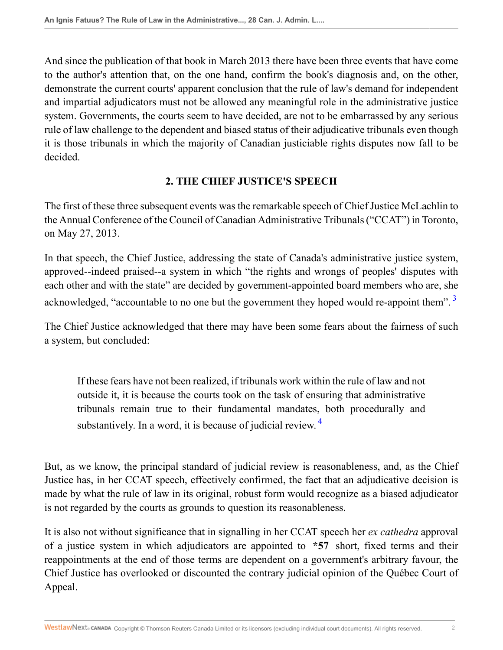And since the publication of that book in March 2013 there have been three events that have come to the author's attention that, on the one hand, confirm the book's diagnosis and, on the other, demonstrate the current courts' apparent conclusion that the rule of law's demand for independent and impartial adjudicators must not be allowed any meaningful role in the administrative justice system. Governments, the courts seem to have decided, are not to be embarrassed by any serious rule of law challenge to the dependent and biased status of their adjudicative tribunals even though it is those tribunals in which the majority of Canadian justiciable rights disputes now fall to be decided.

### <span id="page-1-0"></span>**2. THE CHIEF JUSTICE'S SPEECH**

The first of these three subsequent events was the remarkable speech of Chief Justice McLachlin to the Annual Conference of the Council of Canadian Administrative Tribunals ("CCAT") in Toronto, on May 27, 2013.

In that speech, the Chief Justice, addressing the state of Canada's administrative justice system, approved--indeed praised--a system in which "the rights and wrongs of peoples' disputes with each other and with the state" are decided by government-appointed board members who are, she acknowledged, "accountable to no one but the government they hoped would re-appoint them".<sup>[3](#page-25-3)</sup>

The Chief Justice acknowledged that there may have been some fears about the fairness of such a system, but concluded:

<span id="page-1-1"></span>If these fears have not been realized, if tribunals work within the rule of law and not outside it, it is because the courts took on the task of ensuring that administrative tribunals remain true to their fundamental mandates, both procedurally and substantively. In a word, it is because of judicial review.  $4$ 

But, as we know, the principal standard of judicial review is reasonableness, and, as the Chief Justice has, in her CCAT speech, effectively confirmed, the fact that an adjudicative decision is made by what the rule of law in its original, robust form would recognize as a biased adjudicator is not regarded by the courts as grounds to question its reasonableness.

It is also not without significance that in signalling in her CCAT speech her *ex cathedra* approval of a justice system in which adjudicators are appointed to **\*57** short, fixed terms and their reappointments at the end of those terms are dependent on a government's arbitrary favour, the Chief Justice has overlooked or discounted the contrary judicial opinion of the Québec Court of Appeal.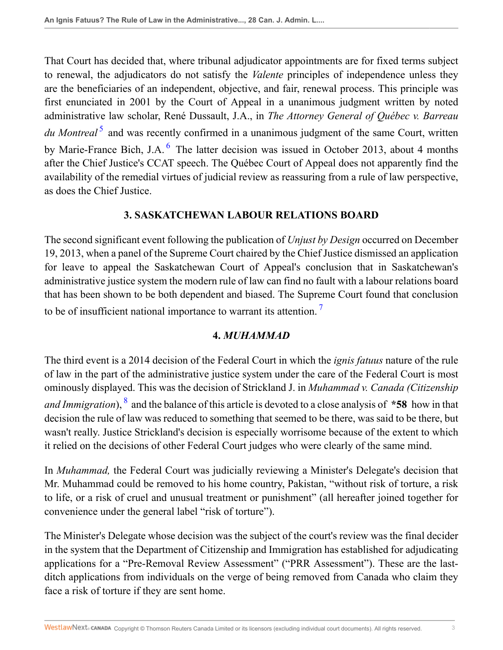<span id="page-2-0"></span>That Court has decided that, where tribunal adjudicator appointments are for fixed terms subject to renewal, the adjudicators do not satisfy the *Valente* principles of independence unless they are the beneficiaries of an independent, objective, and fair, renewal process. This principle was first enunciated in 2001 by the Court of Appeal in a unanimous judgment written by noted administrative law scholar, René Dussault, J.A., in *The Attorney General of Québec v. Barreau* du Montreal<sup>[5](#page-25-5)</sup> and was recently confirmed in a unanimous judgment of the same Court, written by Marie-France Bich, J.A.<sup>[6](#page-25-6)</sup> The latter decision was issued in October 2013, about 4 months after the Chief Justice's CCAT speech. The Québec Court of Appeal does not apparently find the availability of the remedial virtues of judicial review as reassuring from a rule of law perspective, as does the Chief Justice.

### <span id="page-2-1"></span>**3. SASKATCHEWAN LABOUR RELATIONS BOARD**

The second significant event following the publication of *Unjust by Design* occurred on December 19, 2013, when a panel of the Supreme Court chaired by the Chief Justice dismissed an application for leave to appeal the Saskatchewan Court of Appeal's conclusion that in Saskatchewan's administrative justice system the modern rule of law can find no fault with a labour relations board that has been shown to be both dependent and biased. The Supreme Court found that conclusion to be of insufficient national importance to warrant its attention. [7](#page-25-7)

## <span id="page-2-2"></span>**4.** *MUHAMMAD*

<span id="page-2-3"></span>The third event is a 2014 decision of the Federal Court in which the *ignis fatuus* nature of the rule of law in the part of the administrative justice system under the care of the Federal Court is most ominously displayed. This was the decision of Strickland J. in *Muhammad v. Canada (Citizenship* and Immigration), <sup>[8](#page-25-8)</sup> and the balance of this article is devoted to a close analysis of \*58 how in that decision the rule of law was reduced to something that seemed to be there, was said to be there, but wasn't really. Justice Strickland's decision is especially worrisome because of the extent to which it relied on the decisions of other Federal Court judges who were clearly of the same mind.

In *Muhammad,* the Federal Court was judicially reviewing a Minister's Delegate's decision that Mr. Muhammad could be removed to his home country, Pakistan, "without risk of torture, a risk to life, or a risk of cruel and unusual treatment or punishment" (all hereafter joined together for convenience under the general label "risk of torture").

The Minister's Delegate whose decision was the subject of the court's review was the final decider in the system that the Department of Citizenship and Immigration has established for adjudicating applications for a "Pre-Removal Review Assessment" ("PRR Assessment"). These are the lastditch applications from individuals on the verge of being removed from Canada who claim they face a risk of torture if they are sent home.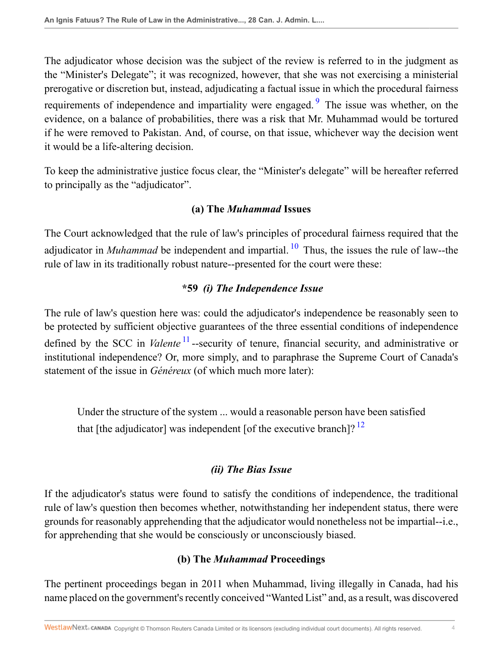The adjudicator whose decision was the subject of the review is referred to in the judgment as the "Minister's Delegate"; it was recognized, however, that she was not exercising a ministerial prerogative or discretion but, instead, adjudicating a factual issue in which the procedural fairness requirements of independence and impartiality were engaged. <sup>[9](#page-25-9)</sup> The issue was whether, on the evidence, on a balance of probabilities, there was a risk that Mr. Muhammad would be tortured if he were removed to Pakistan. And, of course, on that issue, whichever way the decision went it would be a life-altering decision.

To keep the administrative justice focus clear, the "Minister's delegate" will be hereafter referred to principally as the "adjudicator".

### <span id="page-3-1"></span><span id="page-3-0"></span>**(a) The** *Muhammad* **Issues**

The Court acknowledged that the rule of law's principles of procedural fairness required that the adjudicator in *Muhammad* be independent and impartial.  $^{10}$  $^{10}$  $^{10}$  Thus, the issues the rule of law--the rule of law in its traditionally robust nature--presented for the court were these:

## <span id="page-3-2"></span>**\*59** *(i) The Independence Issue*

The rule of law's question here was: could the adjudicator's independence be reasonably seen to be protected by sufficient objective guarantees of the three essential conditions of independence defined by the SCC in *Valente* <sup>[11](#page-26-1)</sup> --security of tenure, financial security, and administrative or institutional independence? Or, more simply, and to paraphrase the Supreme Court of Canada's statement of the issue in *Généreux* (of which much more later):

Under the structure of the system ... would a reasonable person have been satisfied that [the adjudicator] was independent [of the executive branch]?  $^{12}$  $^{12}$  $^{12}$ 

### <span id="page-3-3"></span>*(ii) The Bias Issue*

If the adjudicator's status were found to satisfy the conditions of independence, the traditional rule of law's question then becomes whether, notwithstanding her independent status, there were grounds for reasonably apprehending that the adjudicator would nonetheless not be impartial--i.e., for apprehending that she would be consciously or unconsciously biased.

## **(b) The** *Muhammad* **Proceedings**

The pertinent proceedings began in 2011 when Muhammad, living illegally in Canada, had his name placed on the government's recently conceived "Wanted List" and, as a result, was discovered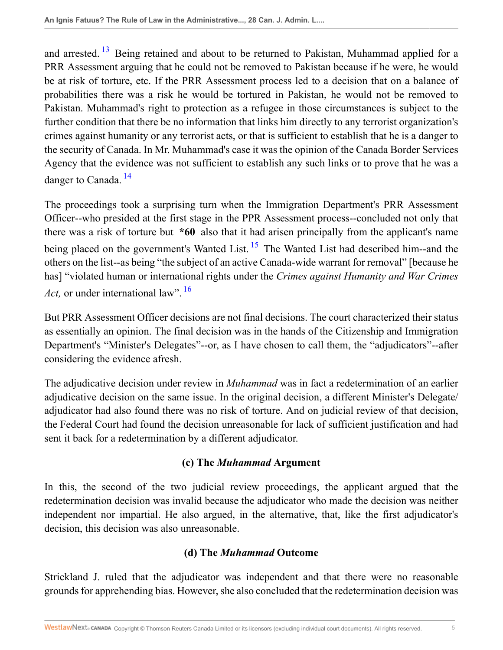<span id="page-4-0"></span>and arrested.  $13$  Being retained and about to be returned to Pakistan, Muhammad applied for a PRR Assessment arguing that he could not be removed to Pakistan because if he were, he would be at risk of torture, etc. If the PRR Assessment process led to a decision that on a balance of probabilities there was a risk he would be tortured in Pakistan, he would not be removed to Pakistan. Muhammad's right to protection as a refugee in those circumstances is subject to the further condition that there be no information that links him directly to any terrorist organization's crimes against humanity or any terrorist acts, or that is sufficient to establish that he is a danger to the security of Canada. In Mr. Muhammad's case it was the opinion of the Canada Border Services Agency that the evidence was not sufficient to establish any such links or to prove that he was a danger to Canada. [14](#page-26-4)

<span id="page-4-2"></span><span id="page-4-1"></span>The proceedings took a surprising turn when the Immigration Department's PRR Assessment Officer--who presided at the first stage in the PPR Assessment process--concluded not only that there was a risk of torture but **\*60** also that it had arisen principally from the applicant's name being placed on the government's Wanted List.  $15$  The Wanted List had described him--and the others on the list--as being "the subject of an active Canada-wide warrant for removal" [because he has] "violated human or international rights under the *Crimes against Humanity and War Crimes Act*, or under international law". <sup>[16](#page-26-6)</sup>

<span id="page-4-3"></span>But PRR Assessment Officer decisions are not final decisions. The court characterized their status as essentially an opinion. The final decision was in the hands of the Citizenship and Immigration Department's "Minister's Delegates"--or, as I have chosen to call them, the "adjudicators"--after considering the evidence afresh.

The adjudicative decision under review in *Muhammad* was in fact a redetermination of an earlier adjudicative decision on the same issue. In the original decision, a different Minister's Delegate/ adjudicator had also found there was no risk of torture. And on judicial review of that decision, the Federal Court had found the decision unreasonable for lack of sufficient justification and had sent it back for a redetermination by a different adjudicator.

## **(c) The** *Muhammad* **Argument**

In this, the second of the two judicial review proceedings, the applicant argued that the redetermination decision was invalid because the adjudicator who made the decision was neither independent nor impartial. He also argued, in the alternative, that, like the first adjudicator's decision, this decision was also unreasonable.

# **(d) The** *Muhammad* **Outcome**

Strickland J. ruled that the adjudicator was independent and that there were no reasonable grounds for apprehending bias. However, she also concluded that the redetermination decision was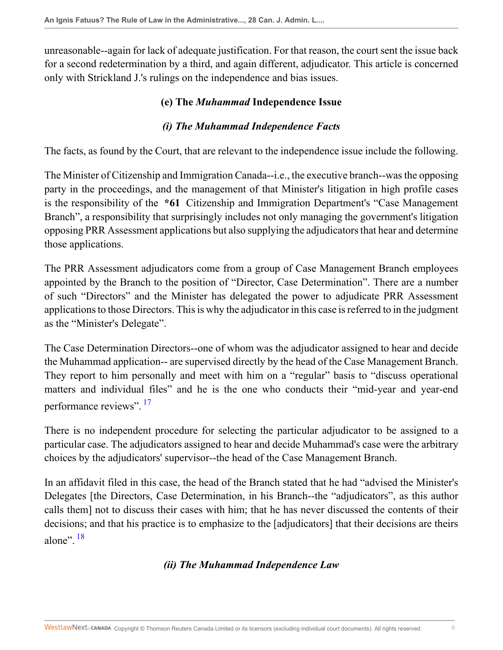unreasonable--again for lack of adequate justification. For that reason, the court sent the issue back for a second redetermination by a third, and again different, adjudicator. This article is concerned only with Strickland J.'s rulings on the independence and bias issues.

### **(e) The** *Muhammad* **Independence Issue**

### *(i) The Muhammad Independence Facts*

The facts, as found by the Court, that are relevant to the independence issue include the following.

The Minister of Citizenship and Immigration Canada--i.e., the executive branch--was the opposing party in the proceedings, and the management of that Minister's litigation in high profile cases is the responsibility of the **\*61** Citizenship and Immigration Department's "Case Management Branch", a responsibility that surprisingly includes not only managing the government's litigation opposing PRR Assessment applications but also supplying the adjudicators that hear and determine those applications.

The PRR Assessment adjudicators come from a group of Case Management Branch employees appointed by the Branch to the position of "Director, Case Determination". There are a number of such "Directors" and the Minister has delegated the power to adjudicate PRR Assessment applications to those Directors. This is why the adjudicator in this case is referred to in the judgment as the "Minister's Delegate".

The Case Determination Directors--one of whom was the adjudicator assigned to hear and decide the Muhammad application-- are supervised directly by the head of the Case Management Branch. They report to him personally and meet with him on a "regular" basis to "discuss operational matters and individual files" and he is the one who conducts their "mid-year and year-end performance reviews". <sup>[17](#page-26-7)</sup>

<span id="page-5-0"></span>There is no independent procedure for selecting the particular adjudicator to be assigned to a particular case. The adjudicators assigned to hear and decide Muhammad's case were the arbitrary choices by the adjudicators' supervisor--the head of the Case Management Branch.

<span id="page-5-1"></span>In an affidavit filed in this case, the head of the Branch stated that he had "advised the Minister's Delegates [the Directors, Case Determination, in his Branch--the "adjudicators", as this author calls them] not to discuss their cases with him; that he has never discussed the contents of their decisions; and that his practice is to emphasize to the [adjudicators] that their decisions are theirs alone"<sup> $18$ </sup>

### *(ii) The Muhammad Independence Law*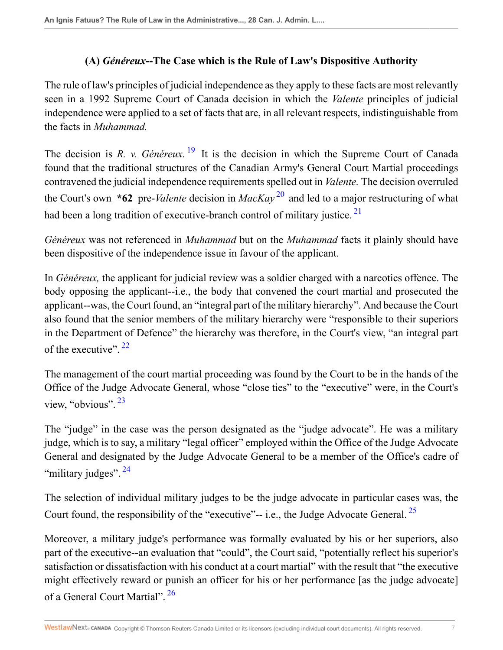### <span id="page-6-2"></span><span id="page-6-1"></span><span id="page-6-0"></span>**(A)** *Généreux***--The Case which is the Rule of Law's Dispositive Authority**

The rule of law's principles of judicial independence as they apply to these facts are most relevantly seen in a 1992 Supreme Court of Canada decision in which the *Valente* principles of judicial independence were applied to a set of facts that are, in all relevant respects, indistinguishable from the facts in *Muhammad.*

The decision is *R. v. Généreux.* <sup>[19](#page-26-9)</sup> It is the decision in which the Supreme Court of Canada found that the traditional structures of the Canadian Army's General Court Martial proceedings contravened the judicial independence requirements spelled out in *Valente.* The decision overruled the Court's own **\*62** pre-*Valente* decision in *MacKay* [20](#page-26-10) and led to a major restructuring of what had been a long tradition of executive-branch control of military justice.<sup>[21](#page-26-11)</sup>

*Généreux* was not referenced in *Muhammad* but on the *Muhammad* facts it plainly should have been dispositive of the independence issue in favour of the applicant.

In *Généreux,* the applicant for judicial review was a soldier charged with a narcotics offence. The body opposing the applicant--i.e., the body that convened the court martial and prosecuted the applicant--was, the Court found, an "integral part of the military hierarchy". And because the Court also found that the senior members of the military hierarchy were "responsible to their superiors in the Department of Defence" the hierarchy was therefore, in the Court's view, "an integral part of the executive".  $22$ 

<span id="page-6-4"></span><span id="page-6-3"></span>The management of the court martial proceeding was found by the Court to be in the hands of the Office of the Judge Advocate General, whose "close ties" to the "executive" were, in the Court's view, "obvious". [23](#page-26-13)

The "judge" in the case was the person designated as the "judge advocate". He was a military judge, which is to say, a military "legal officer" employed within the Office of the Judge Advocate General and designated by the Judge Advocate General to be a member of the Office's cadre of "military judges".<sup>[24](#page-26-14)</sup>

<span id="page-6-6"></span><span id="page-6-5"></span>The selection of individual military judges to be the judge advocate in particular cases was, the Court found, the responsibility of the "executive"-- i.e., the Judge Advocate General.  $^{25}$  $^{25}$  $^{25}$ 

<span id="page-6-7"></span>Moreover, a military judge's performance was formally evaluated by his or her superiors, also part of the executive--an evaluation that "could", the Court said, "potentially reflect his superior's satisfaction or dissatisfaction with his conduct at a court martial" with the result that "the executive might effectively reward or punish an officer for his or her performance [as the judge advocate] of a General Court Martial". <sup>[26](#page-26-16)</sup>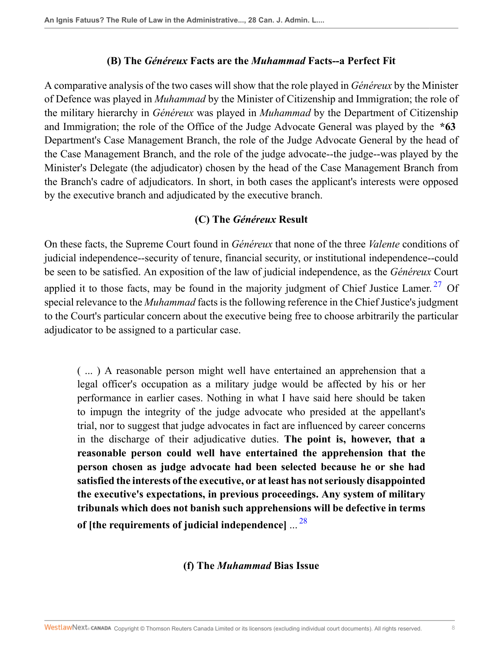#### **(B) The** *Généreux* **Facts are the** *Muhammad* **Facts--a Perfect Fit**

A comparative analysis of the two cases will show that the role played in *Généreux* by the Minister of Defence was played in *Muhammad* by the Minister of Citizenship and Immigration; the role of the military hierarchy in *Généreux* was played in *Muhammad* by the Department of Citizenship and Immigration; the role of the Office of the Judge Advocate General was played by the **\*63** Department's Case Management Branch, the role of the Judge Advocate General by the head of the Case Management Branch, and the role of the judge advocate--the judge--was played by the Minister's Delegate (the adjudicator) chosen by the head of the Case Management Branch from the Branch's cadre of adjudicators. In short, in both cases the applicant's interests were opposed by the executive branch and adjudicated by the executive branch.

#### <span id="page-7-0"></span>**(C) The** *Généreux* **Result**

On these facts, the Supreme Court found in *Généreux* that none of the three *Valente* conditions of judicial independence--security of tenure, financial security, or institutional independence--could be seen to be satisfied. An exposition of the law of judicial independence, as the *Généreux* Court applied it to those facts, may be found in the majority judgment of Chief Justice Lamer.<sup>[27](#page-26-17)</sup> Of special relevance to the *Muhammad* facts is the following reference in the Chief Justice's judgment to the Court's particular concern about the executive being free to choose arbitrarily the particular adjudicator to be assigned to a particular case.

( ... ) A reasonable person might well have entertained an apprehension that a legal officer's occupation as a military judge would be affected by his or her performance in earlier cases. Nothing in what I have said here should be taken to impugn the integrity of the judge advocate who presided at the appellant's trial, nor to suggest that judge advocates in fact are influenced by career concerns in the discharge of their adjudicative duties. **The point is, however, that a reasonable person could well have entertained the apprehension that the person chosen as judge advocate had been selected because he or she had satisfied the interests of the executive, or at least has not seriously disappointed the executive's expectations, in previous proceedings. Any system of military tribunals which does not banish such apprehensions will be defective in terms of [the requirements of judicial independence]** ... [28](#page-26-18)

#### <span id="page-7-1"></span>**(f) The** *Muhammad* **Bias Issue**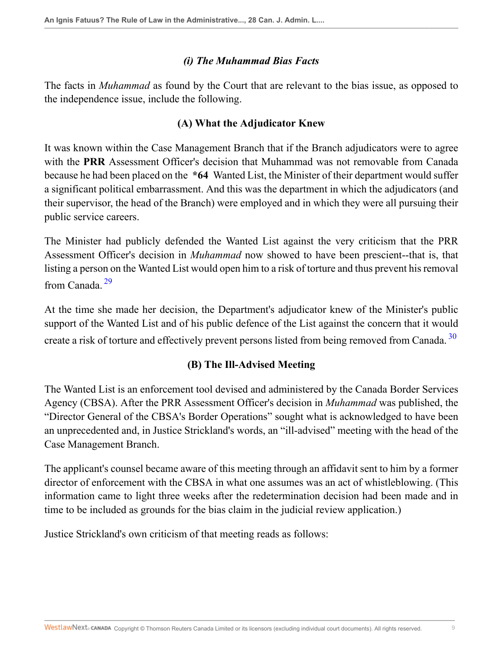### *(i) The Muhammad Bias Facts*

The facts in *Muhammad* as found by the Court that are relevant to the bias issue, as opposed to the independence issue, include the following.

### **(A) What the Adjudicator Knew**

It was known within the Case Management Branch that if the Branch adjudicators were to agree with the **PRR** Assessment Officer's decision that Muhammad was not removable from Canada because he had been placed on the **\*64** Wanted List, the Minister of their department would suffer a significant political embarrassment. And this was the department in which the adjudicators (and their supervisor, the head of the Branch) were employed and in which they were all pursuing their public service careers.

The Minister had publicly defended the Wanted List against the very criticism that the PRR Assessment Officer's decision in *Muhammad* now showed to have been prescient--that is, that listing a person on the Wanted List would open him to a risk of torture and thus prevent his removal from Canada<sup>[29](#page-26-19)</sup>

<span id="page-8-0"></span>At the time she made her decision, the Department's adjudicator knew of the Minister's public support of the Wanted List and of his public defence of the List against the concern that it would create a risk of torture and effectively prevent persons listed from being removed from Canada.<sup>[30](#page-27-0)</sup>

## <span id="page-8-1"></span>**(B) The Ill-Advised Meeting**

The Wanted List is an enforcement tool devised and administered by the Canada Border Services Agency (CBSA). After the PRR Assessment Officer's decision in *Muhammad* was published, the "Director General of the CBSA's Border Operations" sought what is acknowledged to have been an unprecedented and, in Justice Strickland's words, an "ill-advised" meeting with the head of the Case Management Branch.

The applicant's counsel became aware of this meeting through an affidavit sent to him by a former director of enforcement with the CBSA in what one assumes was an act of whistleblowing. (This information came to light three weeks after the redetermination decision had been made and in time to be included as grounds for the bias claim in the judicial review application.)

Justice Strickland's own criticism of that meeting reads as follows: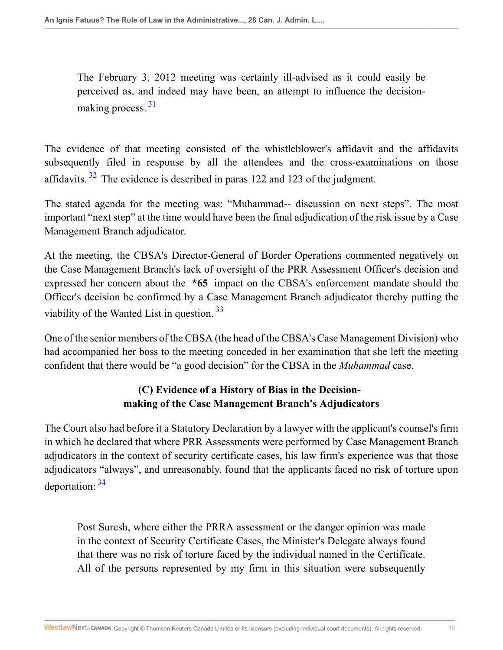<span id="page-9-0"></span>The February 3, 2012 meeting was certainly ill-advised as it could easily be perceived as, and indeed may have been, an attempt to influence the decisionmaking process.  $31$ 

<span id="page-9-1"></span>The evidence of that meeting consisted of the whistleblower's affidavit and the affidavits subsequently filed in response by all the attendees and the cross-examinations on those affidavits.  $32$  The evidence is described in paras 122 and 123 of the judgment.

The stated agenda for the meeting was: "Muhammad-- discussion on next steps". The most important "next step" at the time would have been the final adjudication of the risk issue by a Case Management Branch adjudicator.

At the meeting, the CBSA's Director-General of Border Operations commented negatively on the Case Management Branch's lack of oversight of the PRR Assessment Officer's decision and expressed her concern about the **\*65** impact on the CBSA's enforcement mandate should the Officer's decision be confirmed by a Case Management Branch adjudicator thereby putting the viability of the Wanted List in question. [33](#page-27-3)

One of the senior members of the CBSA (the head of the CBSA's Case Management Division) who had accompanied her boss to the meeting conceded in her examination that she left the meeting confident that there would be "a good decision" for the CBSA in the *Muhammad* case.

# <span id="page-9-2"></span>**(C) Evidence of a History of Bias in the Decisionmaking of the Case Management Branch's Adjudicators**

The Court also had before it a Statutory Declaration by a lawyer with the applicant's counsel's firm in which he declared that where PRR Assessments were performed by Case Management Branch adjudicators in the context of security certificate cases, his law firm's experience was that those adjudicators "always", and unreasonably, found that the applicants faced no risk of torture upon deportation: [34](#page-27-4)

<span id="page-9-3"></span>Post Suresh, where either the PRRA assessment or the danger opinion was made in the context of Security Certificate Cases, the Minister's Delegate always found that there was no risk of torture faced by the individual named in the Certificate. All of the persons represented by my firm in this situation were subsequently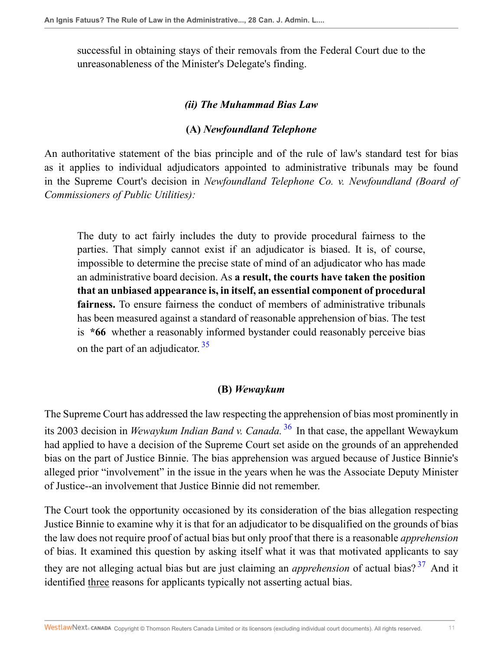successful in obtaining stays of their removals from the Federal Court due to the unreasonableness of the Minister's Delegate's finding.

#### *(ii) The Muhammad Bias Law*

#### **(A)** *Newfoundland Telephone*

An authoritative statement of the bias principle and of the rule of law's standard test for bias as it applies to individual adjudicators appointed to administrative tribunals may be found in the Supreme Court's decision in *Newfoundland Telephone Co. v. Newfoundland (Board of Commissioners of Public Utilities):*

The duty to act fairly includes the duty to provide procedural fairness to the parties. That simply cannot exist if an adjudicator is biased. It is, of course, impossible to determine the precise state of mind of an adjudicator who has made an administrative board decision. As **a result, the courts have taken the position that an unbiased appearance is, in itself, an essential component of procedural fairness.** To ensure fairness the conduct of members of administrative tribunals has been measured against a standard of reasonable apprehension of bias. The test is **\*66** whether a reasonably informed bystander could reasonably perceive bias on the part of an adjudicator.<sup>[35](#page-27-5)</sup>

#### <span id="page-10-2"></span><span id="page-10-1"></span><span id="page-10-0"></span>**(B)** *Wewaykum*

The Supreme Court has addressed the law respecting the apprehension of bias most prominently in its 2003 decision in *Wewaykum Indian Band v. Canada.* [36](#page-27-6) In that case, the appellant Wewaykum had applied to have a decision of the Supreme Court set aside on the grounds of an apprehended bias on the part of Justice Binnie. The bias apprehension was argued because of Justice Binnie's alleged prior "involvement" in the issue in the years when he was the Associate Deputy Minister of Justice--an involvement that Justice Binnie did not remember.

The Court took the opportunity occasioned by its consideration of the bias allegation respecting Justice Binnie to examine why it is that for an adjudicator to be disqualified on the grounds of bias the law does not require proof of actual bias but only proof that there is a reasonable *apprehension* of bias. It examined this question by asking itself what it was that motivated applicants to say they are not alleging actual bias but are just claiming an *apprehension* of actual bias? [37](#page-27-7) And it identified three reasons for applicants typically not asserting actual bias.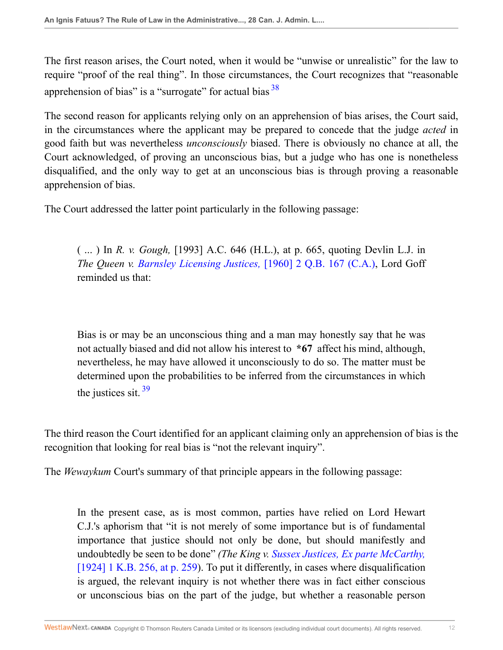<span id="page-11-0"></span>The first reason arises, the Court noted, when it would be "unwise or unrealistic" for the law to require "proof of the real thing". In those circumstances, the Court recognizes that "reasonable apprehension of bias" is a "surrogate" for actual bias  $38$ 

The second reason for applicants relying only on an apprehension of bias arises, the Court said, in the circumstances where the applicant may be prepared to concede that the judge *acted* in good faith but was nevertheless *unconsciously* biased. There is obviously no chance at all, the Court acknowledged, of proving an unconscious bias, but a judge who has one is nonetheless disqualified, and the only way to get at an unconscious bias is through proving a reasonable apprehension of bias.

The Court addressed the latter point particularly in the following passage:

( ... ) In *R. v. Gough,* [1993] A.C. 646 (H.L.), at p. 665, quoting Devlin L.J. in *The Queen v. [Barnsley Licensing Justices,](http://nextcanada.westlaw.com/Link/Document/FullText?findType=Y&serNum=1960017677&pubNum=0003898&originatingDoc=I9da097f6c70c11e498db8b09b4f043e0&refType=IC&originationContext=document&vr=3.0&rs=cblt1.0&transitionType=DocumentItem&contextData=(sc.Search))* [1960] 2 Q.B. 167 (C.A.), Lord Goff reminded us that:

<span id="page-11-1"></span>Bias is or may be an unconscious thing and a man may honestly say that he was not actually biased and did not allow his interest to **\*67** affect his mind, although, nevertheless, he may have allowed it unconsciously to do so. The matter must be determined upon the probabilities to be inferred from the circumstances in which the justices sit. [39](#page-27-9)

The third reason the Court identified for an applicant claiming only an apprehension of bias is the recognition that looking for real bias is "not the relevant inquiry".

The *Wewaykum* Court's summary of that principle appears in the following passage:

In the present case, as is most common, parties have relied on Lord Hewart C.J.'s aphorism that "it is not merely of some importance but is of fundamental importance that justice should not only be done, but should manifestly and undoubtedly be seen to be done" *(The King v. [Sussex Justices, Ex parte McCarthy,](http://nextcanada.westlaw.com/Link/Document/FullText?findType=Y&serNum=1923018915&pubNum=0003719&originatingDoc=I9da097f6c70c11e498db8b09b4f043e0&refType=IC&fi=co_pp_sp_3719_259&originationContext=document&vr=3.0&rs=cblt1.0&transitionType=DocumentItem&contextData=(sc.Search)#co_pp_sp_3719_259)* [\[1924\] 1 K.B. 256, at p. 259](http://nextcanada.westlaw.com/Link/Document/FullText?findType=Y&serNum=1923018915&pubNum=0003719&originatingDoc=I9da097f6c70c11e498db8b09b4f043e0&refType=IC&fi=co_pp_sp_3719_259&originationContext=document&vr=3.0&rs=cblt1.0&transitionType=DocumentItem&contextData=(sc.Search)#co_pp_sp_3719_259)). To put it differently, in cases where disqualification is argued, the relevant inquiry is not whether there was in fact either conscious or unconscious bias on the part of the judge, but whether a reasonable person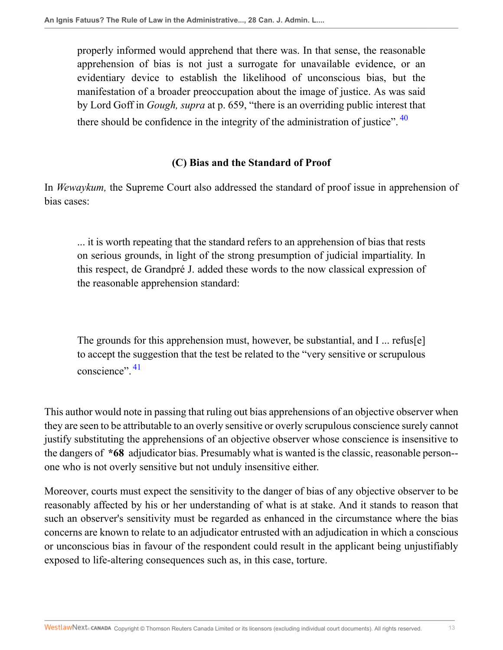properly informed would apprehend that there was. In that sense, the reasonable apprehension of bias is not just a surrogate for unavailable evidence, or an evidentiary device to establish the likelihood of unconscious bias, but the manifestation of a broader preoccupation about the image of justice. As was said by Lord Goff in *Gough, supra* at p. 659, "there is an overriding public interest that there should be confidence in the integrity of the administration of justice".  $40$ 

### <span id="page-12-0"></span>**(C) Bias and the Standard of Proof**

In *Wewaykum,* the Supreme Court also addressed the standard of proof issue in apprehension of bias cases:

... it is worth repeating that the standard refers to an apprehension of bias that rests on serious grounds, in light of the strong presumption of judicial impartiality. In this respect, de Grandpré J. added these words to the now classical expression of the reasonable apprehension standard:

<span id="page-12-1"></span>The grounds for this apprehension must, however, be substantial, and I ... refus[e] to accept the suggestion that the test be related to the "very sensitive or scrupulous conscience"<sup>, [41](#page-27-11)</sup>

This author would note in passing that ruling out bias apprehensions of an objective observer when they are seen to be attributable to an overly sensitive or overly scrupulous conscience surely cannot justify substituting the apprehensions of an objective observer whose conscience is insensitive to the dangers of **\*68** adjudicator bias. Presumably what is wanted is the classic, reasonable person- one who is not overly sensitive but not unduly insensitive either.

Moreover, courts must expect the sensitivity to the danger of bias of any objective observer to be reasonably affected by his or her understanding of what is at stake. And it stands to reason that such an observer's sensitivity must be regarded as enhanced in the circumstance where the bias concerns are known to relate to an adjudicator entrusted with an adjudication in which a conscious or unconscious bias in favour of the respondent could result in the applicant being unjustifiably exposed to life-altering consequences such as, in this case, torture.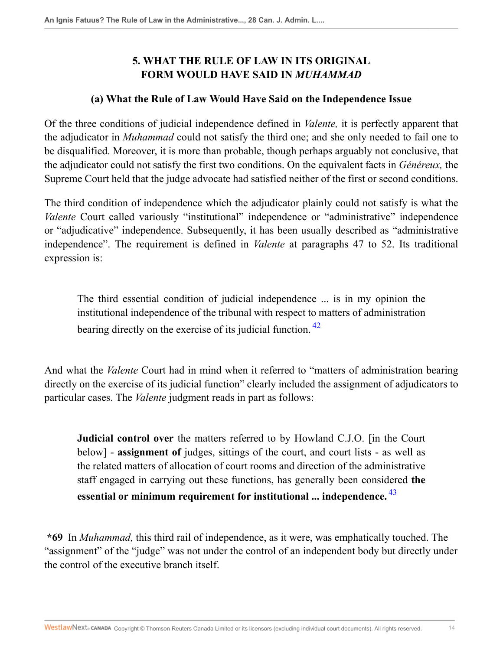# **5. WHAT THE RULE OF LAW IN ITS ORIGINAL FORM WOULD HAVE SAID IN** *MUHAMMAD*

#### **(a) What the Rule of Law Would Have Said on the Independence Issue**

Of the three conditions of judicial independence defined in *Valente,* it is perfectly apparent that the adjudicator in *Muhammad* could not satisfy the third one; and she only needed to fail one to be disqualified. Moreover, it is more than probable, though perhaps arguably not conclusive, that the adjudicator could not satisfy the first two conditions. On the equivalent facts in *Généreux,* the Supreme Court held that the judge advocate had satisfied neither of the first or second conditions.

The third condition of independence which the adjudicator plainly could not satisfy is what the *Valente* Court called variously "institutional" independence or "administrative" independence or "adjudicative" independence. Subsequently, it has been usually described as "administrative independence". The requirement is defined in *Valente* at paragraphs 47 to 52. Its traditional expression is:

<span id="page-13-0"></span>The third essential condition of judicial independence ... is in my opinion the institutional independence of the tribunal with respect to matters of administration bearing directly on the exercise of its judicial function.<sup>[42](#page-27-12)</sup>

And what the *Valente* Court had in mind when it referred to "matters of administration bearing directly on the exercise of its judicial function" clearly included the assignment of adjudicators to particular cases. The *Valente* judgment reads in part as follows:

<span id="page-13-1"></span>**Judicial control over** the matters referred to by Howland C.J.O. [in the Court below] - **assignment of** judges, sittings of the court, and court lists - as well as the related matters of allocation of court rooms and direction of the administrative staff engaged in carrying out these functions, has generally been considered **the essential or minimum requirement for institutional ... independence.** [43](#page-27-13)

**\*69** In *Muhammad,* this third rail of independence, as it were, was emphatically touched. The "assignment" of the "judge" was not under the control of an independent body but directly under the control of the executive branch itself.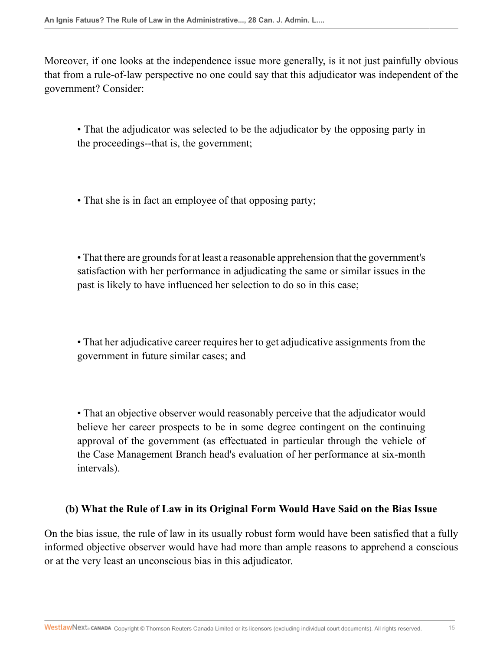Moreover, if one looks at the independence issue more generally, is it not just painfully obvious that from a rule-of-law perspective no one could say that this adjudicator was independent of the government? Consider:

• That the adjudicator was selected to be the adjudicator by the opposing party in the proceedings--that is, the government;

• That she is in fact an employee of that opposing party;

• That there are grounds for at least a reasonable apprehension that the government's satisfaction with her performance in adjudicating the same or similar issues in the past is likely to have influenced her selection to do so in this case;

• That her adjudicative career requires her to get adjudicative assignments from the government in future similar cases; and

• That an objective observer would reasonably perceive that the adjudicator would believe her career prospects to be in some degree contingent on the continuing approval of the government (as effectuated in particular through the vehicle of the Case Management Branch head's evaluation of her performance at six-month intervals).

### **(b) What the Rule of Law in its Original Form Would Have Said on the Bias Issue**

On the bias issue, the rule of law in its usually robust form would have been satisfied that a fully informed objective observer would have had more than ample reasons to apprehend a conscious or at the very least an unconscious bias in this adjudicator.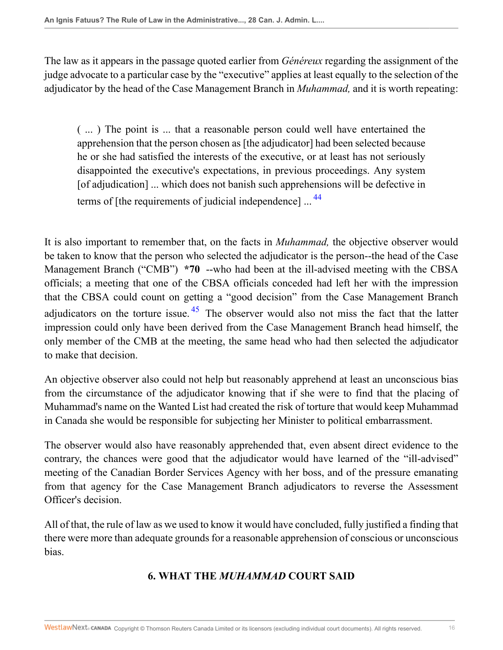The law as it appears in the passage quoted earlier from *Généreux* regarding the assignment of the judge advocate to a particular case by the "executive" applies at least equally to the selection of the adjudicator by the head of the Case Management Branch in *Muhammad,* and it is worth repeating:

<span id="page-15-0"></span>( ... ) The point is ... that a reasonable person could well have entertained the apprehension that the person chosen as [the adjudicator] had been selected because he or she had satisfied the interests of the executive, or at least has not seriously disappointed the executive's expectations, in previous proceedings. Any system [of adjudication] ... which does not banish such apprehensions will be defective in terms of [the requirements of judicial independence] ...<sup>[44](#page-27-14)</sup>

<span id="page-15-1"></span>It is also important to remember that, on the facts in *Muhammad,* the objective observer would be taken to know that the person who selected the adjudicator is the person--the head of the Case Management Branch ("CMB") **\*70** --who had been at the ill-advised meeting with the CBSA officials; a meeting that one of the CBSA officials conceded had left her with the impression that the CBSA could count on getting a "good decision" from the Case Management Branch adjudicators on the torture issue.  $45$  The observer would also not miss the fact that the latter impression could only have been derived from the Case Management Branch head himself, the only member of the CMB at the meeting, the same head who had then selected the adjudicator to make that decision.

An objective observer also could not help but reasonably apprehend at least an unconscious bias from the circumstance of the adjudicator knowing that if she were to find that the placing of Muhammad's name on the Wanted List had created the risk of torture that would keep Muhammad in Canada she would be responsible for subjecting her Minister to political embarrassment.

The observer would also have reasonably apprehended that, even absent direct evidence to the contrary, the chances were good that the adjudicator would have learned of the "ill-advised" meeting of the Canadian Border Services Agency with her boss, and of the pressure emanating from that agency for the Case Management Branch adjudicators to reverse the Assessment Officer's decision.

All of that, the rule of law as we used to know it would have concluded, fully justified a finding that there were more than adequate grounds for a reasonable apprehension of conscious or unconscious bias.

# **6. WHAT THE** *MUHAMMAD* **COURT SAID**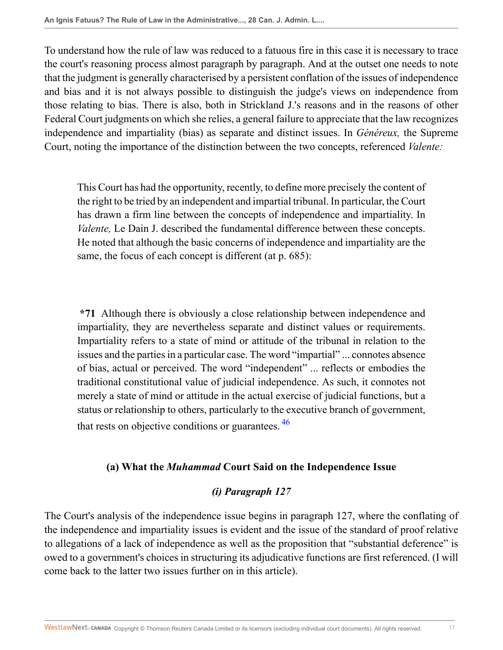To understand how the rule of law was reduced to a fatuous fire in this case it is necessary to trace the court's reasoning process almost paragraph by paragraph. And at the outset one needs to note that the judgment is generally characterised by a persistent conflation of the issues of independence and bias and it is not always possible to distinguish the judge's views on independence from those relating to bias. There is also, both in Strickland J.'s reasons and in the reasons of other Federal Court judgments on which she relies, a general failure to appreciate that the law recognizes independence and impartiality (bias) as separate and distinct issues. In *Généreux,* the Supreme Court, noting the importance of the distinction between the two concepts, referenced *Valente:*

This Court has had the opportunity, recently, to define more precisely the content of the right to be tried by an independent and impartial tribunal. In particular, the Court has drawn a firm line between the concepts of independence and impartiality. In *Valente,* Le Dain J. described the fundamental difference between these concepts. He noted that although the basic concerns of independence and impartiality are the same, the focus of each concept is different (at p. 685):

**\*71** Although there is obviously a close relationship between independence and impartiality, they are nevertheless separate and distinct values or requirements. Impartiality refers to a state of mind or attitude of the tribunal in relation to the issues and the parties in a particular case. The word "impartial" ... connotes absence of bias, actual or perceived. The word "independent" ... reflects or embodies the traditional constitutional value of judicial independence. As such, it connotes not merely a state of mind or attitude in the actual exercise of judicial functions, but a status or relationship to others, particularly to the executive branch of government, that rests on objective conditions or guarantees.  $\frac{46}{10}$  $\frac{46}{10}$  $\frac{46}{10}$ 

### **(a) What the** *Muhammad* **Court Said on the Independence Issue**

## <span id="page-16-0"></span>*(i) Paragraph 127*

The Court's analysis of the independence issue begins in paragraph 127, where the conflating of the independence and impartiality issues is evident and the issue of the standard of proof relative to allegations of a lack of independence as well as the proposition that "substantial deference" is owed to a government's choices in structuring its adjudicative functions are first referenced. (I will come back to the latter two issues further on in this article).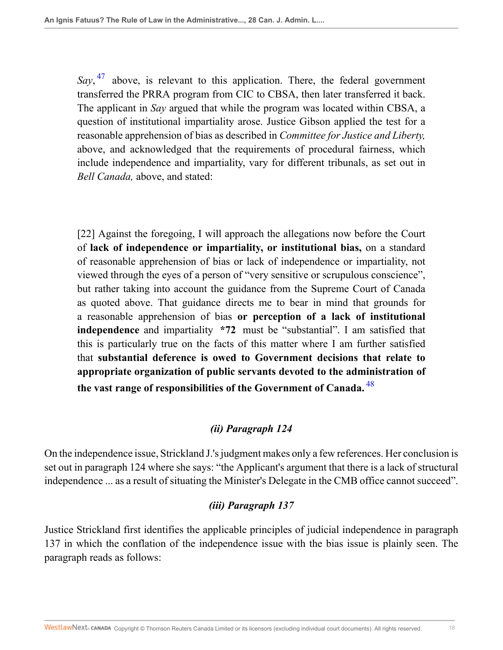<span id="page-17-0"></span>Say, <sup>[47](#page-27-17)</sup> above, is relevant to this application. There, the federal government transferred the PRRA program from CIC to CBSA, then later transferred it back. The applicant in *Say* argued that while the program was located within CBSA, a question of institutional impartiality arose. Justice Gibson applied the test for a reasonable apprehension of bias as described in *Committee for Justice and Liberty,* above, and acknowledged that the requirements of procedural fairness, which include independence and impartiality, vary for different tribunals, as set out in *Bell Canada,* above, and stated:

[22] Against the foregoing, I will approach the allegations now before the Court of **lack of independence or impartiality, or institutional bias,** on a standard of reasonable apprehension of bias or lack of independence or impartiality, not viewed through the eyes of a person of "very sensitive or scrupulous conscience", but rather taking into account the guidance from the Supreme Court of Canada as quoted above. That guidance directs me to bear in mind that grounds for a reasonable apprehension of bias **or perception of a lack of institutional independence** and impartiality **\*72** must be "substantial". I am satisfied that this is particularly true on the facts of this matter where I am further satisfied that **substantial deference is owed to Government decisions that relate to appropriate organization of public servants devoted to the administration of the vast range of responsibilities of the Government of Canada.** [48](#page-27-18)

## <span id="page-17-1"></span>*(ii) Paragraph 124*

On the independence issue, Strickland J.'s judgment makes only a few references. Her conclusion is set out in paragraph 124 where she says: "the Applicant's argument that there is a lack of structural independence ... as a result of situating the Minister's Delegate in the CMB office cannot succeed".

## *(iii) Paragraph 137*

Justice Strickland first identifies the applicable principles of judicial independence in paragraph 137 in which the conflation of the independence issue with the bias issue is plainly seen. The paragraph reads as follows: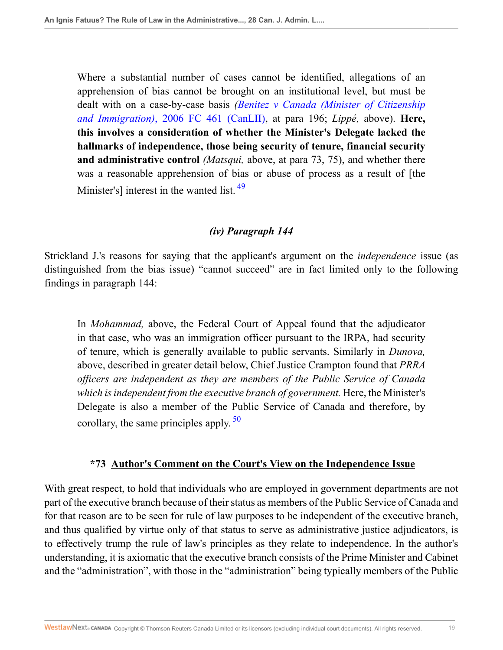Where a substantial number of cases cannot be identified, allegations of an apprehension of bias cannot be brought on an institutional level, but must be dealt with on a case-by-case basis *([Benitez v Canada \(Minister of Citizenship](http://nextcanada.westlaw.com/Link/Document/FullText?findType=Y&serNum=2009064889&pubNum=0007061&originatingDoc=I9da097f6c70c11e498db8b09b4f043e0&refType=IC&originationContext=document&vr=3.0&rs=cblt1.0&transitionType=DocumentItem&contextData=(sc.Search)) and Immigration)*[, 2006 FC 461 \(CanLII\),](http://nextcanada.westlaw.com/Link/Document/FullText?findType=Y&serNum=2009064889&pubNum=0007061&originatingDoc=I9da097f6c70c11e498db8b09b4f043e0&refType=IC&originationContext=document&vr=3.0&rs=cblt1.0&transitionType=DocumentItem&contextData=(sc.Search)) at para 196; *Lippé,* above). **Here, this involves a consideration of whether the Minister's Delegate lacked the hallmarks of independence, those being security of tenure, financial security and administrative control** *(Matsqui,* above, at para 73, 75), and whether there was a reasonable apprehension of bias or abuse of process as a result of [the Minister's] interest in the wanted list. <sup>[49](#page-27-19)</sup>

### <span id="page-18-0"></span>*(iv) Paragraph 144*

Strickland J.'s reasons for saying that the applicant's argument on the *independence* issue (as distinguished from the bias issue) "cannot succeed" are in fact limited only to the following findings in paragraph 144:

In *Mohammad,* above, the Federal Court of Appeal found that the adjudicator in that case, who was an immigration officer pursuant to the IRPA, had security of tenure, which is generally available to public servants. Similarly in *Dunova,* above, described in greater detail below, Chief Justice Crampton found that *PRRA officers are independent as they are members of the Public Service of Canada which is independent from the executive branch of government.* Here, the Minister's Delegate is also a member of the Public Service of Canada and therefore, by corollary, the same principles apply.  $50$ 

### <span id="page-18-1"></span>**\*73 Author's Comment on the Court's View on the Independence Issue**

With great respect, to hold that individuals who are employed in government departments are not part of the executive branch because of their status as members of the Public Service of Canada and for that reason are to be seen for rule of law purposes to be independent of the executive branch, and thus qualified by virtue only of that status to serve as administrative justice adjudicators, is to effectively trump the rule of law's principles as they relate to independence. In the author's understanding, it is axiomatic that the executive branch consists of the Prime Minister and Cabinet and the "administration", with those in the "administration" being typically members of the Public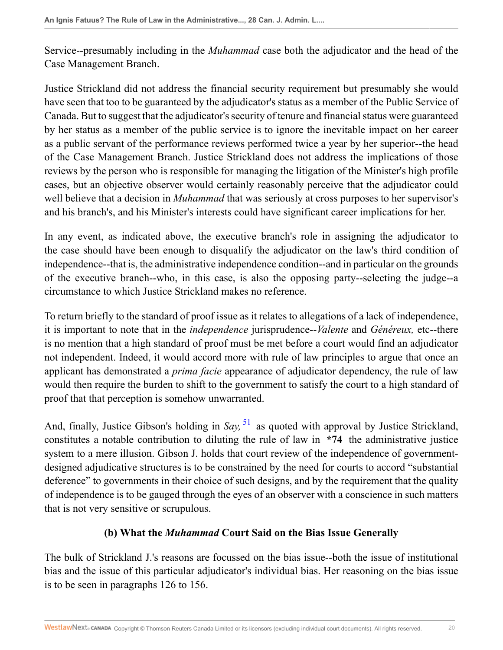Service--presumably including in the *Muhammad* case both the adjudicator and the head of the Case Management Branch.

Justice Strickland did not address the financial security requirement but presumably she would have seen that too to be guaranteed by the adjudicator's status as a member of the Public Service of Canada. But to suggest that the adjudicator's security of tenure and financial status were guaranteed by her status as a member of the public service is to ignore the inevitable impact on her career as a public servant of the performance reviews performed twice a year by her superior--the head of the Case Management Branch. Justice Strickland does not address the implications of those reviews by the person who is responsible for managing the litigation of the Minister's high profile cases, but an objective observer would certainly reasonably perceive that the adjudicator could well believe that a decision in *Muhammad* that was seriously at cross purposes to her supervisor's and his branch's, and his Minister's interests could have significant career implications for her.

In any event, as indicated above, the executive branch's role in assigning the adjudicator to the case should have been enough to disqualify the adjudicator on the law's third condition of independence--that is, the administrative independence condition--and in particular on the grounds of the executive branch--who, in this case, is also the opposing party--selecting the judge--a circumstance to which Justice Strickland makes no reference.

To return briefly to the standard of proof issue as it relates to allegations of a lack of independence, it is important to note that in the *independence* jurisprudence--*Valente* and *Généreux,* etc--there is no mention that a high standard of proof must be met before a court would find an adjudicator not independent. Indeed, it would accord more with rule of law principles to argue that once an applicant has demonstrated a *prima facie* appearance of adjudicator dependency, the rule of law would then require the burden to shift to the government to satisfy the court to a high standard of proof that that perception is somehow unwarranted.

And, finally, Justice Gibson's holding in *Say*, <sup>[51](#page-27-21)</sup> as quoted with approval by Justice Strickland, constitutes a notable contribution to diluting the rule of law in **\*74** the administrative justice system to a mere illusion. Gibson J. holds that court review of the independence of governmentdesigned adjudicative structures is to be constrained by the need for courts to accord "substantial deference" to governments in their choice of such designs, and by the requirement that the quality of independence is to be gauged through the eyes of an observer with a conscience in such matters that is not very sensitive or scrupulous.

### <span id="page-19-0"></span>**(b) What the** *Muhammad* **Court Said on the Bias Issue Generally**

The bulk of Strickland J.'s reasons are focussed on the bias issue--both the issue of institutional bias and the issue of this particular adjudicator's individual bias. Her reasoning on the bias issue is to be seen in paragraphs 126 to 156.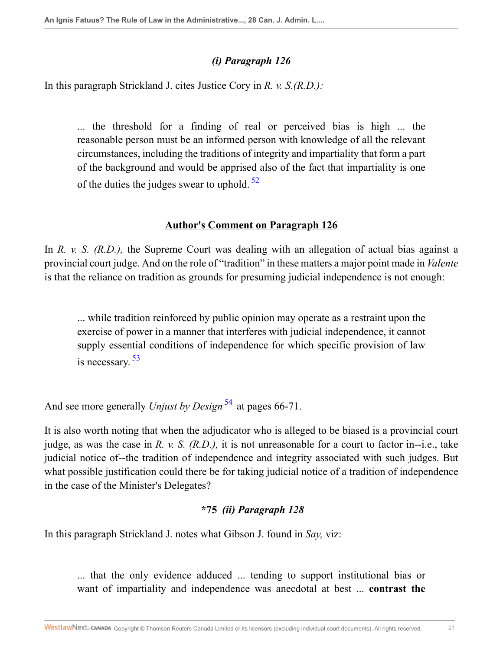## *(i) Paragraph 126*

In this paragraph Strickland J. cites Justice Cory in *R. v. S.(R.D.):*

... the threshold for a finding of real or perceived bias is high ... the reasonable person must be an informed person with knowledge of all the relevant circumstances, including the traditions of integrity and impartiality that form a part of the background and would be apprised also of the fact that impartiality is one of the duties the judges swear to uphold.  $52$ 

### <span id="page-20-0"></span>**Author's Comment on Paragraph 126**

In *R. v. S. (R.D.)*, the Supreme Court was dealing with an allegation of actual bias against a provincial court judge. And on the role of "tradition" in these matters a major point made in *Valente* is that the reliance on tradition as grounds for presuming judicial independence is not enough:

<span id="page-20-1"></span>... while tradition reinforced by public opinion may operate as a restraint upon the exercise of power in a manner that interferes with judicial independence, it cannot supply essential conditions of independence for which specific provision of law is necessary.<sup>[53](#page-28-1)</sup>

And see more generally *Unjust by Design*<sup>[54](#page-28-2)</sup> at pages 66-71.

It is also worth noting that when the adjudicator who is alleged to be biased is a provincial court judge, as was the case in *R. v. S. (R.D.),* it is not unreasonable for a court to factor in--i.e., take judicial notice of--the tradition of independence and integrity associated with such judges. But what possible justification could there be for taking judicial notice of a tradition of independence in the case of the Minister's Delegates?

## <span id="page-20-2"></span>**\*75** *(ii) Paragraph 128*

In this paragraph Strickland J. notes what Gibson J. found in *Say,* viz:

... that the only evidence adduced ... tending to support institutional bias or want of impartiality and independence was anecdotal at best ... **contrast the**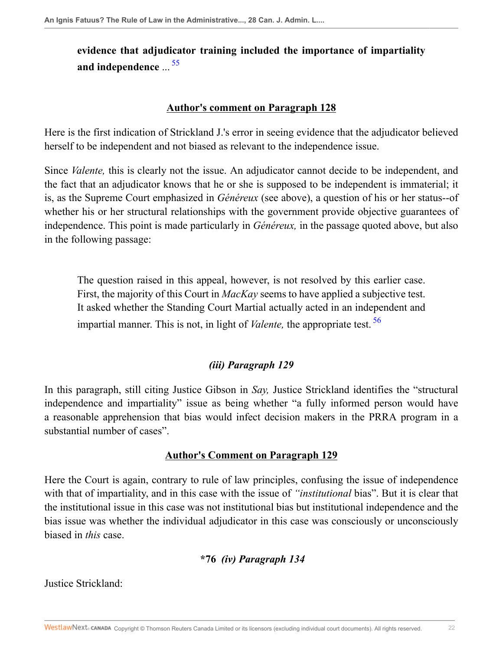# **evidence that adjudicator training included the importance of impartiality and independence** ... [55](#page-28-3)

#### <span id="page-21-0"></span>**Author's comment on Paragraph 128**

Here is the first indication of Strickland J.'s error in seeing evidence that the adjudicator believed herself to be independent and not biased as relevant to the independence issue.

Since *Valente,* this is clearly not the issue. An adjudicator cannot decide to be independent, and the fact that an adjudicator knows that he or she is supposed to be independent is immaterial; it is, as the Supreme Court emphasized in *Généreux* (see above), a question of his or her status--of whether his or her structural relationships with the government provide objective guarantees of independence. This point is made particularly in *Généreux,* in the passage quoted above, but also in the following passage:

The question raised in this appeal, however, is not resolved by this earlier case. First, the majority of this Court in *MacKay* seems to have applied a subjective test. It asked whether the Standing Court Martial actually acted in an independent and impartial manner. This is not, in light of *Valente,* the appropriate test. [56](#page-28-4)

## <span id="page-21-1"></span>*(iii) Paragraph 129*

In this paragraph, still citing Justice Gibson in *Say,* Justice Strickland identifies the "structural independence and impartiality" issue as being whether "a fully informed person would have a reasonable apprehension that bias would infect decision makers in the PRRA program in a substantial number of cases".

### **Author's Comment on Paragraph 129**

Here the Court is again, contrary to rule of law principles, confusing the issue of independence with that of impartiality, and in this case with the issue of *"institutional* bias". But it is clear that the institutional issue in this case was not institutional bias but institutional independence and the bias issue was whether the individual adjudicator in this case was consciously or unconsciously biased in *this* case.

# **\*76** *(iv) Paragraph 134*

Justice Strickland: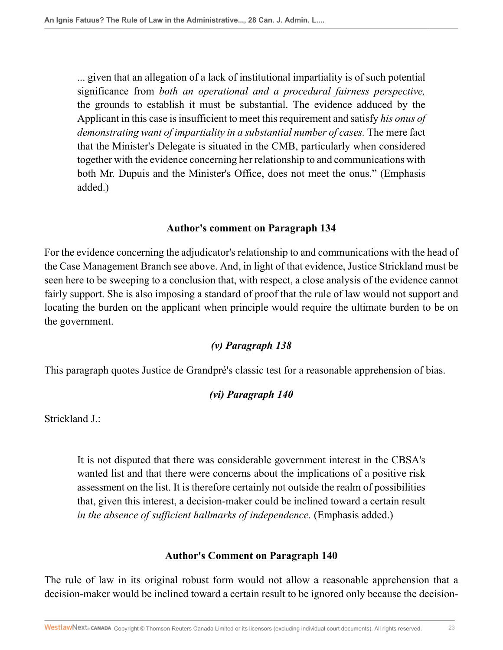... given that an allegation of a lack of institutional impartiality is of such potential significance from *both an operational and a procedural fairness perspective,* the grounds to establish it must be substantial. The evidence adduced by the Applicant in this case is insufficient to meet this requirement and satisfy *his onus of demonstrating want of impartiality in a substantial number of cases.* The mere fact that the Minister's Delegate is situated in the CMB, particularly when considered together with the evidence concerning her relationship to and communications with both Mr. Dupuis and the Minister's Office, does not meet the onus." (Emphasis added.)

### **Author's comment on Paragraph 134**

For the evidence concerning the adjudicator's relationship to and communications with the head of the Case Management Branch see above. And, in light of that evidence, Justice Strickland must be seen here to be sweeping to a conclusion that, with respect, a close analysis of the evidence cannot fairly support. She is also imposing a standard of proof that the rule of law would not support and locating the burden on the applicant when principle would require the ultimate burden to be on the government.

### *(v) Paragraph 138*

This paragraph quotes Justice de Grandpré's classic test for a reasonable apprehension of bias.

### *(vi) Paragraph 140*

Strickland J.:

It is not disputed that there was considerable government interest in the CBSA's wanted list and that there were concerns about the implications of a positive risk assessment on the list. It is therefore certainly not outside the realm of possibilities that, given this interest, a decision-maker could be inclined toward a certain result *in the absence of sufficient hallmarks of independence.* (Emphasis added.)

### **Author's Comment on Paragraph 140**

The rule of law in its original robust form would not allow a reasonable apprehension that a decision-maker would be inclined toward a certain result to be ignored only because the decision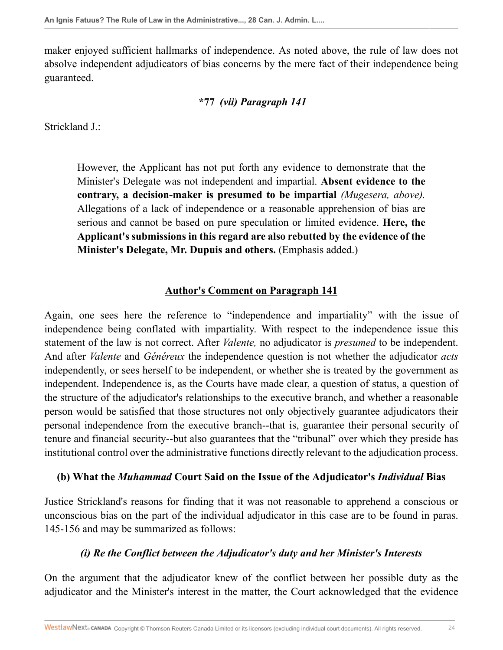maker enjoyed sufficient hallmarks of independence. As noted above, the rule of law does not absolve independent adjudicators of bias concerns by the mere fact of their independence being guaranteed.

#### **\*77** *(vii) Paragraph 141*

Strickland J.:

However, the Applicant has not put forth any evidence to demonstrate that the Minister's Delegate was not independent and impartial. **Absent evidence to the contrary, a decision-maker is presumed to be impartial** *(Mugesera, above).* Allegations of a lack of independence or a reasonable apprehension of bias are serious and cannot be based on pure speculation or limited evidence. **Here, the Applicant's submissions in this regard are also rebutted by the evidence of the Minister's Delegate, Mr. Dupuis and others.** (Emphasis added.)

#### **Author's Comment on Paragraph 141**

Again, one sees here the reference to "independence and impartiality" with the issue of independence being conflated with impartiality. With respect to the independence issue this statement of the law is not correct. After *Valente,* no adjudicator is *presumed* to be independent. And after *Valente* and *Généreux* the independence question is not whether the adjudicator *acts* independently, or sees herself to be independent, or whether she is treated by the government as independent. Independence is, as the Courts have made clear, a question of status, a question of the structure of the adjudicator's relationships to the executive branch, and whether a reasonable person would be satisfied that those structures not only objectively guarantee adjudicators their personal independence from the executive branch--that is, guarantee their personal security of tenure and financial security--but also guarantees that the "tribunal" over which they preside has institutional control over the administrative functions directly relevant to the adjudication process.

#### **(b) What the** *Muhammad* **Court Said on the Issue of the Adjudicator's** *Individual* **Bias**

Justice Strickland's reasons for finding that it was not reasonable to apprehend a conscious or unconscious bias on the part of the individual adjudicator in this case are to be found in paras. 145-156 and may be summarized as follows:

### *(i) Re the Conflict between the Adjudicator's duty and her Minister's Interests*

On the argument that the adjudicator knew of the conflict between her possible duty as the adjudicator and the Minister's interest in the matter, the Court acknowledged that the evidence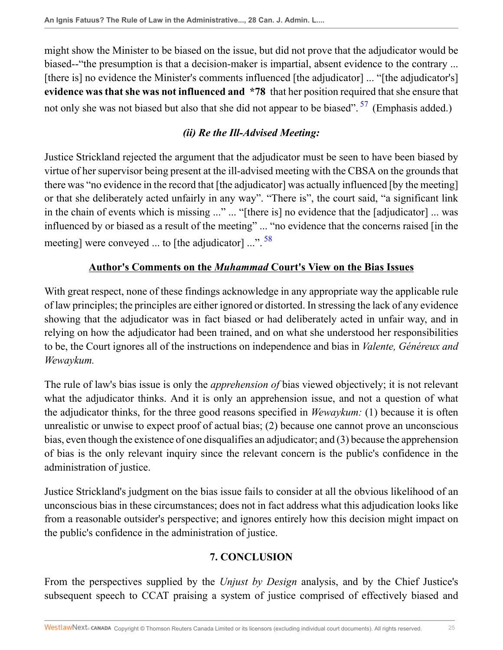might show the Minister to be biased on the issue, but did not prove that the adjudicator would be biased--"the presumption is that a decision-maker is impartial, absent evidence to the contrary ... [there is] no evidence the Minister's comments influenced [the adjudicator] ... "[the adjudicator's] **evidence was that she was not influenced and \*78** that her position required that she ensure that not only she was not biased but also that she did not appear to be biased".  $57$  (Emphasis added.)

## <span id="page-24-1"></span><span id="page-24-0"></span>*(ii) Re the Ill-Advised Meeting:*

Justice Strickland rejected the argument that the adjudicator must be seen to have been biased by virtue of her supervisor being present at the ill-advised meeting with the CBSA on the grounds that there was "no evidence in the record that [the adjudicator] was actually influenced [by the meeting] or that she deliberately acted unfairly in any way". "There is", the court said, "a significant link in the chain of events which is missing ..." ... "[there is] no evidence that the [adjudicator] ... was influenced by or biased as a result of the meeting" ... "no evidence that the concerns raised [in the meeting] were conveyed ... to [the adjudicator]  $\ldots$ <sup>[58](#page-28-6)</sup>

## **Author's Comments on the** *Muhammad* **Court's View on the Bias Issues**

With great respect, none of these findings acknowledge in any appropriate way the applicable rule of law principles; the principles are either ignored or distorted. In stressing the lack of any evidence showing that the adjudicator was in fact biased or had deliberately acted in unfair way, and in relying on how the adjudicator had been trained, and on what she understood her responsibilities to be, the Court ignores all of the instructions on independence and bias in *Valente, Généreux and Wewaykum.*

The rule of law's bias issue is only the *apprehension of* bias viewed objectively; it is not relevant what the adjudicator thinks. And it is only an apprehension issue, and not a question of what the adjudicator thinks, for the three good reasons specified in *Wewaykum:* (1) because it is often unrealistic or unwise to expect proof of actual bias; (2) because one cannot prove an unconscious bias, even though the existence of one disqualifies an adjudicator; and (3) because the apprehension of bias is the only relevant inquiry since the relevant concern is the public's confidence in the administration of justice.

Justice Strickland's judgment on the bias issue fails to consider at all the obvious likelihood of an unconscious bias in these circumstances; does not in fact address what this adjudication looks like from a reasonable outsider's perspective; and ignores entirely how this decision might impact on the public's confidence in the administration of justice.

# **7. CONCLUSION**

From the perspectives supplied by the *Unjust by Design* analysis, and by the Chief Justice's subsequent speech to CCAT praising a system of justice comprised of effectively biased and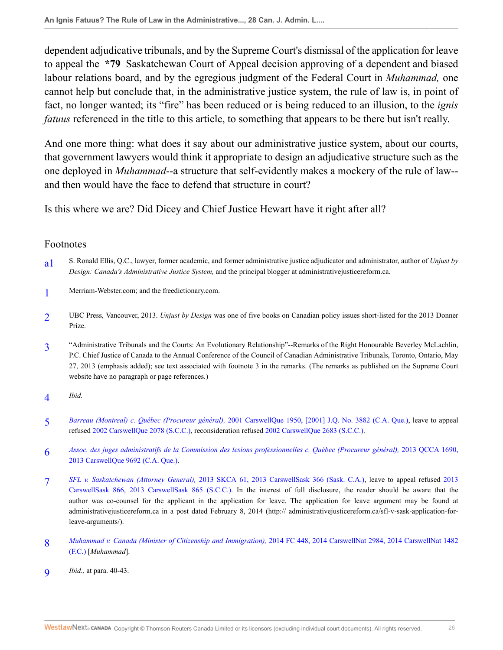dependent adjudicative tribunals, and by the Supreme Court's dismissal of the application for leave to appeal the **\*79** Saskatchewan Court of Appeal decision approving of a dependent and biased labour relations board, and by the egregious judgment of the Federal Court in *Muhammad,* one cannot help but conclude that, in the administrative justice system, the rule of law is, in point of fact, no longer wanted; its "fire" has been reduced or is being reduced to an illusion, to the *ignis fatuus* referenced in the title to this article, to something that appears to be there but isn't really.

And one more thing: what does it say about our administrative justice system, about our courts, that government lawyers would think it appropriate to design an adjudicative structure such as the one deployed in *Muhammad*--a structure that self-evidently makes a mockery of the rule of law- and then would have the face to defend that structure in court?

Is this where we are? Did Dicey and Chief Justice Hewart have it right after all?

#### Footnotes

- <span id="page-25-0"></span>[a1](#page-0-0) S. Ronald Ellis, Q.C., lawyer, former academic, and former administrative justice adjudicator and administrator, author of *Unjust by Design: Canada's Administrative Justice System,* and the principal blogger at administrativejusticereform.ca.
- <span id="page-25-1"></span>[1](#page-0-1) Merriam-Webster.com; and the freedictionary.com.
- <span id="page-25-2"></span> $\overline{2}$  $\overline{2}$  $\overline{2}$ UBC Press, Vancouver, 2013. *Unjust by Design* was one of five books on Canadian policy issues short-listed for the 2013 Donner Prize.
- <span id="page-25-3"></span>[3](#page-1-0) "Administrative Tribunals and the Courts: An Evolutionary Relationship"--Remarks of the Right Honourable Beverley McLachlin, P.C. Chief Justice of Canada to the Annual Conference of the Council of Canadian Administrative Tribunals, Toronto, Ontario, May 27, 2013 (emphasis added); see text associated with footnote 3 in the remarks. (The remarks as published on the Supreme Court website have no paragraph or page references.)
- <span id="page-25-4"></span>[4](#page-1-1) *Ibid.*
- <span id="page-25-5"></span>[5](#page-2-0) *Barreau (Montreal) c. Québec (Procureur général),* [2001 CarswellQue 1950, \[2001\] J.Q. No. 3882 \(C.A. Que.\)](http://nextcanada.westlaw.com/Link/Document/FullText?findType=Y&serNum=2001458530&pubNum=0005481&originatingDoc=I9da097f6c70c11e498db8b09b4f043e0&refType=IC&originationContext=document&vr=3.0&rs=cblt1.0&transitionType=DocumentItem&contextData=(sc.Search)), leave to appeal refused [2002 CarswellQue 2078 \(S.C.C.\)](http://nextcanada.westlaw.com/Link/Document/FullText?findType=Y&serNum=2002514900&pubNum=0005481&originatingDoc=I9da097f6c70c11e498db8b09b4f043e0&refType=IC&originationContext=document&vr=3.0&rs=cblt1.0&transitionType=DocumentItem&contextData=(sc.Search)), reconsideration refused [2002 CarswellQue 2683 \(S.C.C.\)](http://nextcanada.westlaw.com/Link/Document/FullText?findType=Y&serNum=2002766895&pubNum=0005481&originatingDoc=I9da097f6c70c11e498db8b09b4f043e0&refType=IC&originationContext=document&vr=3.0&rs=cblt1.0&transitionType=DocumentItem&contextData=(sc.Search)).
- <span id="page-25-6"></span>[6](#page-2-1) *[Assoc. des juges administratifs de la Commission des lesions professionnelles c. Québec \(Procureur général\),](http://nextcanada.westlaw.com/Link/Document/FullText?findType=Y&serNum=2031718330&pubNum=0007230&originatingDoc=I9da097f6c70c11e498db8b09b4f043e0&refType=IC&originationContext=document&vr=3.0&rs=cblt1.0&transitionType=DocumentItem&contextData=(sc.Search))* 2013 QCCA 1690, [2013 CarswellQue 9692 \(C.A. Que.\)](http://nextcanada.westlaw.com/Link/Document/FullText?findType=Y&serNum=2031718330&pubNum=0007230&originatingDoc=I9da097f6c70c11e498db8b09b4f043e0&refType=IC&originationContext=document&vr=3.0&rs=cblt1.0&transitionType=DocumentItem&contextData=(sc.Search)).
- <span id="page-25-7"></span>[7](#page-2-2) *SFL v. Saskatchewan (Attorney General),* [2013 SKCA 61, 2013 CarswellSask 366 \(Sask. C.A.\),](http://nextcanada.westlaw.com/Link/Document/FullText?findType=Y&serNum=2030790914&pubNum=0006487&originatingDoc=I9da097f6c70c11e498db8b09b4f043e0&refType=IC&originationContext=document&vr=3.0&rs=cblt1.0&transitionType=DocumentItem&contextData=(sc.Search)) leave to appeal refused [2013](http://nextcanada.westlaw.com/Link/Document/FullText?findType=Y&serNum=2032379091&pubNum=0005477&originatingDoc=I9da097f6c70c11e498db8b09b4f043e0&refType=IC&originationContext=document&vr=3.0&rs=cblt1.0&transitionType=DocumentItem&contextData=(sc.Search)) [CarswellSask 866, 2013 CarswellSask 865 \(S.C.C.\)](http://nextcanada.westlaw.com/Link/Document/FullText?findType=Y&serNum=2032379091&pubNum=0005477&originatingDoc=I9da097f6c70c11e498db8b09b4f043e0&refType=IC&originationContext=document&vr=3.0&rs=cblt1.0&transitionType=DocumentItem&contextData=(sc.Search)). In the interest of full disclosure, the reader should be aware that the author was co-counsel for the applicant in the application for leave. The application for leave argument may be found at administrativejusticereform.ca in a post dated February 8, 2014 (http:// administrativejusticereform.ca/sfl-v-sask-application-forleave-arguments/).
- <span id="page-25-8"></span>[8](#page-2-3) *[Muhammad v. Canada \(Minister of Citizenship and Immigration\),](http://nextcanada.westlaw.com/Link/Document/FullText?findType=Y&serNum=2033376414&pubNum=0007061&originatingDoc=I9da097f6c70c11e498db8b09b4f043e0&refType=IC&originationContext=document&vr=3.0&rs=cblt1.0&transitionType=DocumentItem&contextData=(sc.Search))* 2014 FC 448, 2014 CarswellNat 2984, 2014 CarswellNat 1482 [\(F.C.\)](http://nextcanada.westlaw.com/Link/Document/FullText?findType=Y&serNum=2033376414&pubNum=0007061&originatingDoc=I9da097f6c70c11e498db8b09b4f043e0&refType=IC&originationContext=document&vr=3.0&rs=cblt1.0&transitionType=DocumentItem&contextData=(sc.Search)) [*Muhammad*].
- <span id="page-25-9"></span>[9](#page-3-0) *Ibid.,* at para. 40-43.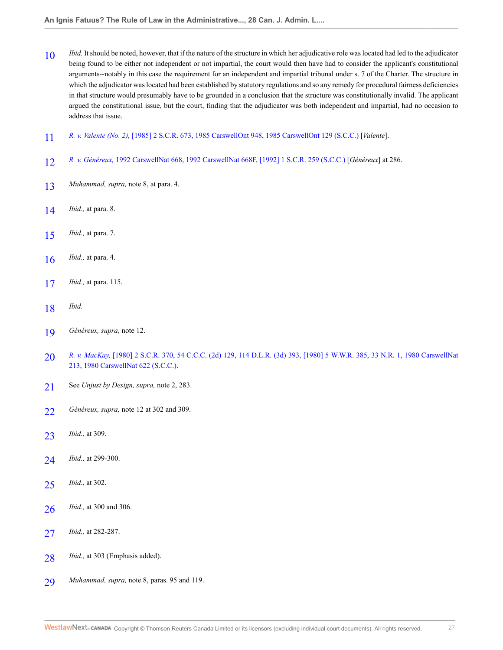- <span id="page-26-0"></span> *Ibid.* It should be noted, however, that if the nature of the structure in which her adjudicative role was located had led to the adjudicator being found to be either not independent or not impartial, the court would then have had to consider the applicant's constitutional arguments--notably in this case the requirement for an independent and impartial tribunal under s. 7 of the Charter. The structure in which the adjudicator was located had been established by statutory regulations and so any remedy for procedural fairness deficiencies in that structure would presumably have to be grounded in a conclusion that the structure was constitutionally invalid. The applicant argued the constitutional issue, but the court, finding that the adjudicator was both independent and impartial, had no occasion to address that issue.
- <span id="page-26-1"></span>*R. v. Valente (No. 2),* [\[1985\] 2 S.C.R. 673, 1985 CarswellOnt 948, 1985 CarswellOnt 129 \(S.C.C.\)](http://nextcanada.westlaw.com/Link/Document/FullText?findType=Y&serNum=1985198311&pubNum=0005156&originatingDoc=I9da097f6c70c11e498db8b09b4f043e0&refType=IC&originationContext=document&vr=3.0&rs=cblt1.0&transitionType=DocumentItem&contextData=(sc.Search)) [*Valente*].
- <span id="page-26-2"></span>*R. v. Généreux,* [1992 CarswellNat 668, 1992 CarswellNat 668F, \[1992\] 1 S.C.R. 259 \(S.C.C.\)](http://nextcanada.westlaw.com/Link/Document/FullText?findType=Y&serNum=1992364551&pubNum=0005470&originatingDoc=I9da097f6c70c11e498db8b09b4f043e0&refType=IC&originationContext=document&vr=3.0&rs=cblt1.0&transitionType=DocumentItem&contextData=(sc.Search)) [*Généreux*] at 286.
- <span id="page-26-3"></span>*Muhammad, supra,* note 8, at para. 4.
- <span id="page-26-4"></span>*Ibid.,* at para. 8.
- <span id="page-26-5"></span>*Ibid.,* at para. 7.
- <span id="page-26-6"></span>*Ibid.,* at para. 4.
- <span id="page-26-7"></span>*Ibid.,* at para. 115.
- <span id="page-26-8"></span>*Ibid.*
- <span id="page-26-9"></span>*Généreux, supra,* note 12.
- <span id="page-26-10"></span> *R. v. MacKay,* [\[1980\] 2 S.C.R. 370, 54 C.C.C. \(2d\) 129, 114 D.L.R. \(3d\) 393, \[1980\] 5 W.W.R. 385, 33 N.R. 1, 1980 CarswellNat](http://nextcanada.westlaw.com/Link/Document/FullText?findType=Y&serNum=1980158712&pubNum=0005156&originatingDoc=I9da097f6c70c11e498db8b09b4f043e0&refType=IC&originationContext=document&vr=3.0&rs=cblt1.0&transitionType=DocumentItem&contextData=(sc.Search)) [213, 1980 CarswellNat 622 \(S.C.C.\).](http://nextcanada.westlaw.com/Link/Document/FullText?findType=Y&serNum=1980158712&pubNum=0005156&originatingDoc=I9da097f6c70c11e498db8b09b4f043e0&refType=IC&originationContext=document&vr=3.0&rs=cblt1.0&transitionType=DocumentItem&contextData=(sc.Search))
- <span id="page-26-11"></span>See *Unjust by Design, supra,* note 2, 283.
- <span id="page-26-12"></span>*Généreux, supra,* note 12 at 302 and 309.
- <span id="page-26-13"></span>*Ibid.*, at 309.
- <span id="page-26-14"></span>*Ibid.,* at 299-300.
- <span id="page-26-15"></span>*Ibid.*, at 302.
- <span id="page-26-16"></span>*Ibid.,* at 300 and 306.
- <span id="page-26-17"></span>*Ibid.,* at 282-287.
- <span id="page-26-18"></span>*Ibid.*, at 303 (Emphasis added).
- <span id="page-26-19"></span>*Muhammad, supra,* note 8, paras. 95 and 119.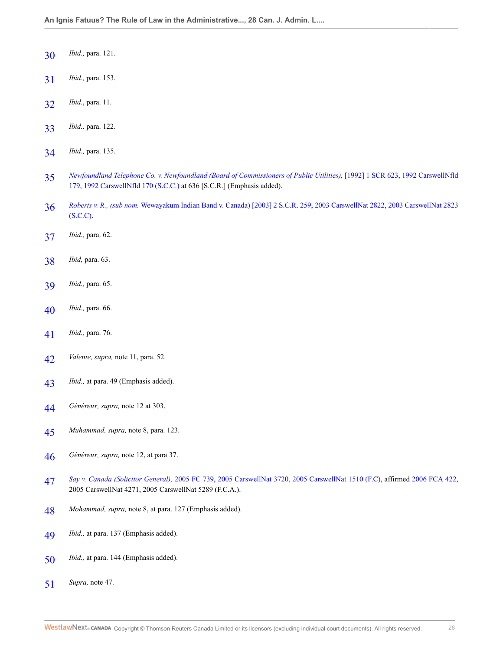- <span id="page-27-0"></span>*Ibid.,* para. 121.
- <span id="page-27-1"></span>*Ibid.,* para. 153.
- <span id="page-27-2"></span>*Ibid.*, para. 11.
- <span id="page-27-3"></span>*Ibid.,* para. 122.
- <span id="page-27-4"></span>*Ibid.,* para. 135.
- <span id="page-27-5"></span> *[Newfoundland Telephone Co. v. Newfoundland \(Board of Commissioners of Public Utilities\),](http://nextcanada.westlaw.com/Link/Document/FullText?findType=Y&serNum=1992365864&pubNum=0005156&originatingDoc=I9da097f6c70c11e498db8b09b4f043e0&refType=IC&originationContext=document&vr=3.0&rs=cblt1.0&transitionType=DocumentItem&contextData=(sc.Search))* [1992] 1 SCR 623, 1992 CarswellNfld [179, 1992 CarswellNfld 170 \(S.C.C.\)](http://nextcanada.westlaw.com/Link/Document/FullText?findType=Y&serNum=1992365864&pubNum=0005156&originatingDoc=I9da097f6c70c11e498db8b09b4f043e0&refType=IC&originationContext=document&vr=3.0&rs=cblt1.0&transitionType=DocumentItem&contextData=(sc.Search)) at 636 [S.C.R.] (Emphasis added).
- <span id="page-27-6"></span> *Roberts v. R., (sub nom.* [Wewayakum Indian Band v. Canada\) \[2003\] 2 S.C.R. 259, 2003 CarswellNat 2822, 2003 CarswellNat 2823](http://nextcanada.westlaw.com/Link/Document/FullText?findType=Y&serNum=2003632770&pubNum=0005156&originatingDoc=I9da097f6c70c11e498db8b09b4f043e0&refType=IC&originationContext=document&vr=3.0&rs=cblt1.0&transitionType=DocumentItem&contextData=(sc.Search)) [\(S.C.C\)](http://nextcanada.westlaw.com/Link/Document/FullText?findType=Y&serNum=2003632770&pubNum=0005156&originatingDoc=I9da097f6c70c11e498db8b09b4f043e0&refType=IC&originationContext=document&vr=3.0&rs=cblt1.0&transitionType=DocumentItem&contextData=(sc.Search)).
- <span id="page-27-7"></span>*Ibid.,* para. 62.
- <span id="page-27-8"></span>*Ibid,* para. 63.
- <span id="page-27-9"></span>*Ibid.,* para. 65.
- <span id="page-27-10"></span>*Ibid.,* para. 66.
- <span id="page-27-11"></span>*Ibid.,* para. 76.
- <span id="page-27-12"></span>*Valente, supra,* note 11, para. 52.
- <span id="page-27-13"></span>*Ibid.,* at para. 49 (Emphasis added).
- <span id="page-27-14"></span>*Généreux, supra,* note 12 at 303.
- <span id="page-27-15"></span>*Muhammad, supra,* note 8, para. 123.
- <span id="page-27-16"></span>*Généreux, supra,* note 12, at para 37.
- <span id="page-27-17"></span> *Say v. Canada (Solicitor General),* [2005 FC 739, 2005 CarswellNat 3720, 2005 CarswellNat 1510 \(F.C\)](http://nextcanada.westlaw.com/Link/Document/FullText?findType=Y&serNum=2006675570&pubNum=0007061&originatingDoc=I9da097f6c70c11e498db8b09b4f043e0&refType=IC&originationContext=document&vr=3.0&rs=cblt1.0&transitionType=DocumentItem&contextData=(sc.Search)), affirmed [2006 FCA 422,](http://nextcanada.westlaw.com/Link/Document/FullText?findType=Y&serNum=2011138958&pubNum=0006662&originatingDoc=I9da097f6c70c11e498db8b09b4f043e0&refType=IC&originationContext=document&vr=3.0&rs=cblt1.0&transitionType=DocumentItem&contextData=(sc.Search)) 2005 CarswellNat 4271, 2005 CarswellNat 5289 (F.C.A.).
- <span id="page-27-18"></span>*Mohammad, supra,* note 8, at para. 127 (Emphasis added).
- <span id="page-27-19"></span>*Ibid.,* at para. 137 (Emphasis added).
- <span id="page-27-20"></span>*Ibid.,* at para. 144 (Emphasis added).
- <span id="page-27-21"></span>*Supra,* note 47.